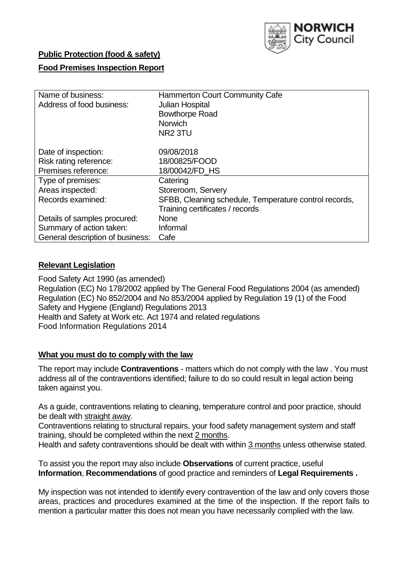

## **Public Protection (food & safety)**

## **Food Premises Inspection Report**

| Name of business:<br>Address of food business: | <b>Hammerton Court Community Cafe</b><br>Julian Hospital<br><b>Bowthorpe Road</b><br><b>Norwich</b><br>NR <sub>2</sub> 3TU |
|------------------------------------------------|----------------------------------------------------------------------------------------------------------------------------|
| Date of inspection:                            | 09/08/2018                                                                                                                 |
| Risk rating reference:                         | 18/00825/FOOD                                                                                                              |
| Premises reference:                            | 18/00042/FD HS                                                                                                             |
| Type of premises:                              | Catering                                                                                                                   |
| Areas inspected:                               | Storeroom, Servery                                                                                                         |
| Records examined:                              | SFBB, Cleaning schedule, Temperature control records,                                                                      |
|                                                | Training certificates / records                                                                                            |
| Details of samples procured:                   | <b>None</b>                                                                                                                |
| Summary of action taken:                       | Informal                                                                                                                   |
| General description of business:               | Cafe                                                                                                                       |

#### **Relevant Legislation**

Food Safety Act 1990 (as amended) Regulation (EC) No 178/2002 applied by The General Food Regulations 2004 (as amended) Regulation (EC) No 852/2004 and No 853/2004 applied by Regulation 19 (1) of the Food Safety and Hygiene (England) Regulations 2013 Health and Safety at Work etc. Act 1974 and related regulations Food Information Regulations 2014

#### **What you must do to comply with the law**

The report may include **Contraventions** - matters which do not comply with the law . You must address all of the contraventions identified; failure to do so could result in legal action being taken against you.

As a guide, contraventions relating to cleaning, temperature control and poor practice, should be dealt with straight away.

Contraventions relating to structural repairs, your food safety management system and staff training, should be completed within the next 2 months.

Health and safety contraventions should be dealt with within 3 months unless otherwise stated.

To assist you the report may also include **Observations** of current practice, useful **Information**, **Recommendations** of good practice and reminders of **Legal Requirements .**

My inspection was not intended to identify every contravention of the law and only covers those areas, practices and procedures examined at the time of the inspection. If the report fails to mention a particular matter this does not mean you have necessarily complied with the law.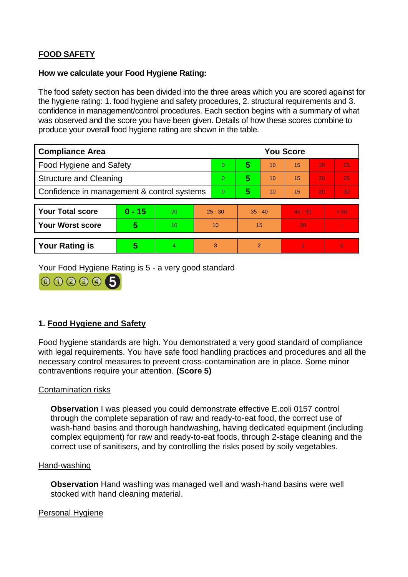# **FOOD SAFETY**

#### **How we calculate your Food Hygiene Rating:**

The food safety section has been divided into the three areas which you are scored against for the hygiene rating: 1. food hygiene and safety procedures, 2. structural requirements and 3. confidence in management/control procedures. Each section begins with a summary of what was observed and the score you have been given. Details of how these scores combine to produce your overall food hygiene rating are shown in the table.

| <b>Compliance Area</b>                     |          |    |           | <b>You Score</b> |                |    |           |    |          |  |  |
|--------------------------------------------|----------|----|-----------|------------------|----------------|----|-----------|----|----------|--|--|
| Food Hygiene and Safety                    |          |    |           | $\Omega$         | 5              | 10 | 15        | 20 | 25       |  |  |
| <b>Structure and Cleaning</b>              |          |    | $\Omega$  | 5                | 10             | 15 | 20        | 25 |          |  |  |
| Confidence in management & control systems |          |    | $\Omega$  | 5                | 10             | 15 | 20        | 30 |          |  |  |
|                                            |          |    |           |                  |                |    |           |    |          |  |  |
| <b>Your Total score</b>                    | $0 - 15$ | 20 | $25 - 30$ |                  | $35 - 40$      |    | $45 - 50$ |    | > 50     |  |  |
| <b>Your Worst score</b>                    | 5        | 10 |           | 10               | 15             |    | 20        |    |          |  |  |
|                                            |          |    |           |                  |                |    |           |    |          |  |  |
| <b>Your Rating is</b>                      | 5        | 4  |           | 3                | $\overline{2}$ |    |           |    | $\Omega$ |  |  |

Your Food Hygiene Rating is 5 - a very good standard



## **1. Food Hygiene and Safety**

Food hygiene standards are high. You demonstrated a very good standard of compliance with legal requirements. You have safe food handling practices and procedures and all the necessary control measures to prevent cross-contamination are in place. Some minor contraventions require your attention. **(Score 5)**

## Contamination risks

**Observation** I was pleased you could demonstrate effective E.coli 0157 control through the complete separation of raw and ready-to-eat food, the correct use of wash-hand basins and thorough handwashing, having dedicated equipment (including complex equipment) for raw and ready-to-eat foods, through 2-stage cleaning and the correct use of sanitisers, and by controlling the risks posed by soily vegetables.

#### Hand-washing

**Observation** Hand washing was managed well and wash-hand basins were well stocked with hand cleaning material.

#### Personal Hygiene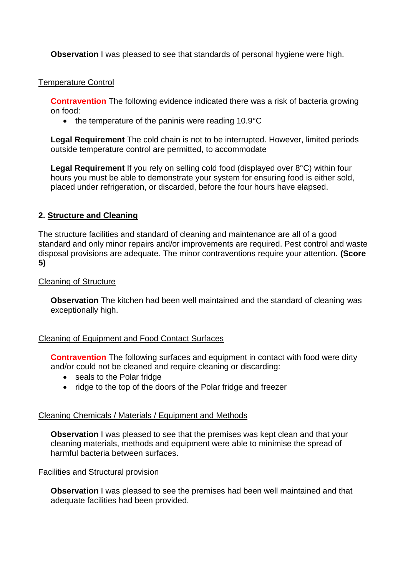**Observation** I was pleased to see that standards of personal hygiene were high.

## Temperature Control

**Contravention** The following evidence indicated there was a risk of bacteria growing on food:

 $\bullet$  the temperature of the paninis were reading 10.9 $\degree$ C

**Legal Requirement** The cold chain is not to be interrupted. However, limited periods outside temperature control are permitted, to accommodate

**Legal Requirement** If you rely on selling cold food (displayed over 8°C) within four hours you must be able to demonstrate your system for ensuring food is either sold, placed under refrigeration, or discarded, before the four hours have elapsed.

## **2. Structure and Cleaning**

The structure facilities and standard of cleaning and maintenance are all of a good standard and only minor repairs and/or improvements are required. Pest control and waste disposal provisions are adequate. The minor contraventions require your attention. **(Score 5)**

## Cleaning of Structure

**Observation** The kitchen had been well maintained and the standard of cleaning was exceptionally high.

## Cleaning of Equipment and Food Contact Surfaces

**Contravention** The following surfaces and equipment in contact with food were dirty and/or could not be cleaned and require cleaning or discarding:

- seals to the Polar fridge
- ridge to the top of the doors of the Polar fridge and freezer

## Cleaning Chemicals / Materials / Equipment and Methods

**Observation** I was pleased to see that the premises was kept clean and that your cleaning materials, methods and equipment were able to minimise the spread of harmful bacteria between surfaces.

## Facilities and Structural provision

**Observation** I was pleased to see the premises had been well maintained and that adequate facilities had been provided.